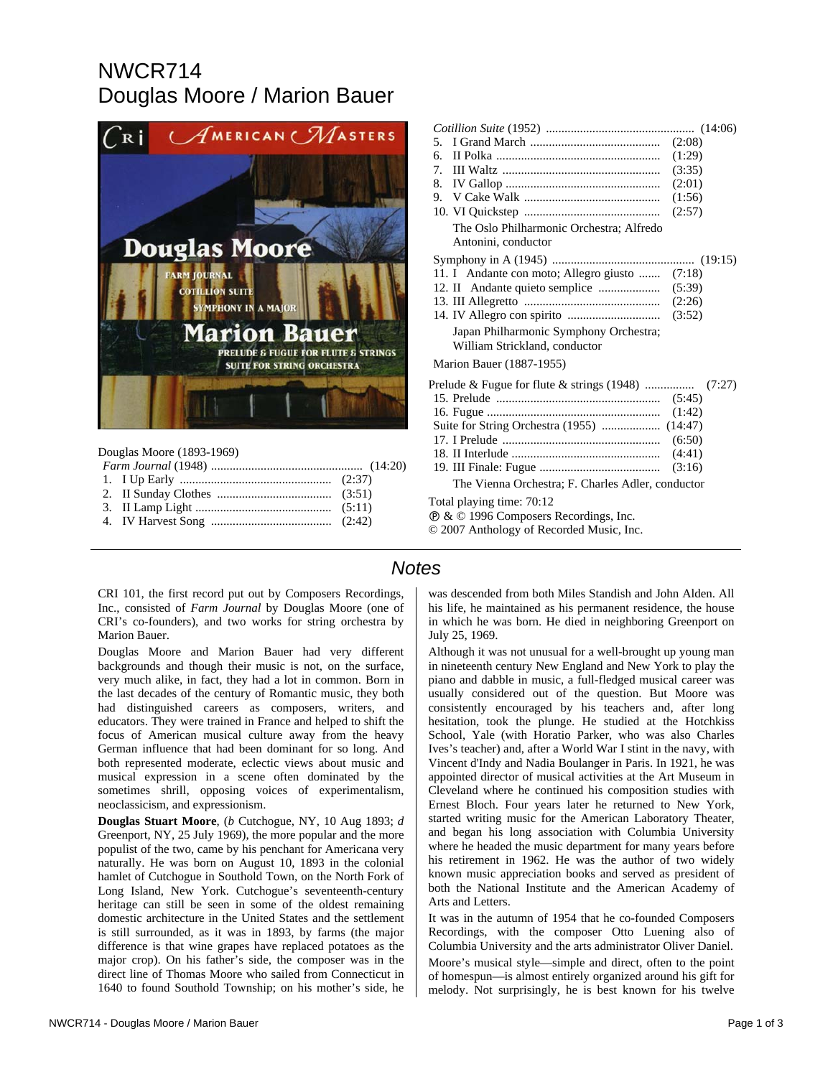## NWCR714 Douglas Moore / Marion Bauer



Douglas Moore (1893-1969)

| .5                                                                      | (2:08) |
|-------------------------------------------------------------------------|--------|
| б.                                                                      | (1:29) |
| 7.                                                                      | (3:35) |
| 8.                                                                      | (2:01) |
| 9.                                                                      | (1:56) |
|                                                                         | (2:57) |
| The Oslo Philharmonic Orchestra; Alfredo<br>Antonini, conductor         |        |
|                                                                         |        |
| 11. I Andante con moto; Allegro giusto  (7:18)                          |        |
|                                                                         |        |
|                                                                         |        |
|                                                                         |        |
| Japan Philharmonic Symphony Orchestra;<br>William Strickland, conductor |        |
| <b>Marion Bauer (1887-1955)</b>                                         |        |
|                                                                         |        |
|                                                                         |        |
|                                                                         |        |
| Suite for String Orchestra (1955)  (14:47)                              |        |
|                                                                         |        |
|                                                                         | (4:41) |
|                                                                         | (3:16) |
| The Vienna Orchestra; F. Charles Adler, conductor                       |        |
| Total playing time: 70:12                                               |        |
| $\mathcal{D}$ & $\odot$ 1996 Composers Recordings, Inc.                 |        |
| © 2007 Anthology of Recorded Music, Inc.                                |        |

*Cotillion Suite* (1952) ................................................ (14:06)

## *Notes*

CRI 101, the first record put out by Composers Recordings, Inc., consisted of *Farm Journal* by Douglas Moore (one of CRI's co-founders), and two works for string orchestra by Marion Bauer.

Douglas Moore and Marion Bauer had very different backgrounds and though their music is not, on the surface, very much alike, in fact, they had a lot in common. Born in the last decades of the century of Romantic music, they both had distinguished careers as composers, writers, and educators. They were trained in France and helped to shift the focus of American musical culture away from the heavy German influence that had been dominant for so long. And both represented moderate, eclectic views about music and musical expression in a scene often dominated by the sometimes shrill, opposing voices of experimentalism, neoclassicism, and expressionism.

**Douglas Stuart Moore**, (*b* Cutchogue, NY, 10 Aug 1893; *d* Greenport, NY, 25 July 1969), the more popular and the more populist of the two, came by his penchant for Americana very naturally. He was born on August 10, 1893 in the colonial hamlet of Cutchogue in Southold Town, on the North Fork of Long Island, New York. Cutchogue's seventeenth-century heritage can still be seen in some of the oldest remaining domestic architecture in the United States and the settlement is still surrounded, as it was in 1893, by farms (the major difference is that wine grapes have replaced potatoes as the major crop). On his father's side, the composer was in the direct line of Thomas Moore who sailed from Connecticut in 1640 to found Southold Township; on his mother's side, he

was descended from both Miles Standish and John Alden. All his life, he maintained as his permanent residence, the house in which he was born. He died in neighboring Greenport on July 25, 1969.

Although it was not unusual for a well-brought up young man in nineteenth century New England and New York to play the piano and dabble in music, a full-fledged musical career was usually considered out of the question. But Moore was consistently encouraged by his teachers and, after long hesitation, took the plunge. He studied at the Hotchkiss School, Yale (with Horatio Parker, who was also Charles Ives's teacher) and, after a World War I stint in the navy, with Vincent d'Indy and Nadia Boulanger in Paris. In 1921, he was appointed director of musical activities at the Art Museum in Cleveland where he continued his composition studies with Ernest Bloch. Four years later he returned to New York, started writing music for the American Laboratory Theater, and began his long association with Columbia University where he headed the music department for many years before his retirement in 1962. He was the author of two widely known music appreciation books and served as president of both the National Institute and the American Academy of Arts and Letters.

It was in the autumn of 1954 that he co-founded Composers Recordings, with the composer Otto Luening also of Columbia University and the arts administrator Oliver Daniel.

Moore's musical style—simple and direct, often to the point of homespun—is almost entirely organized around his gift for melody. Not surprisingly, he is best known for his twelve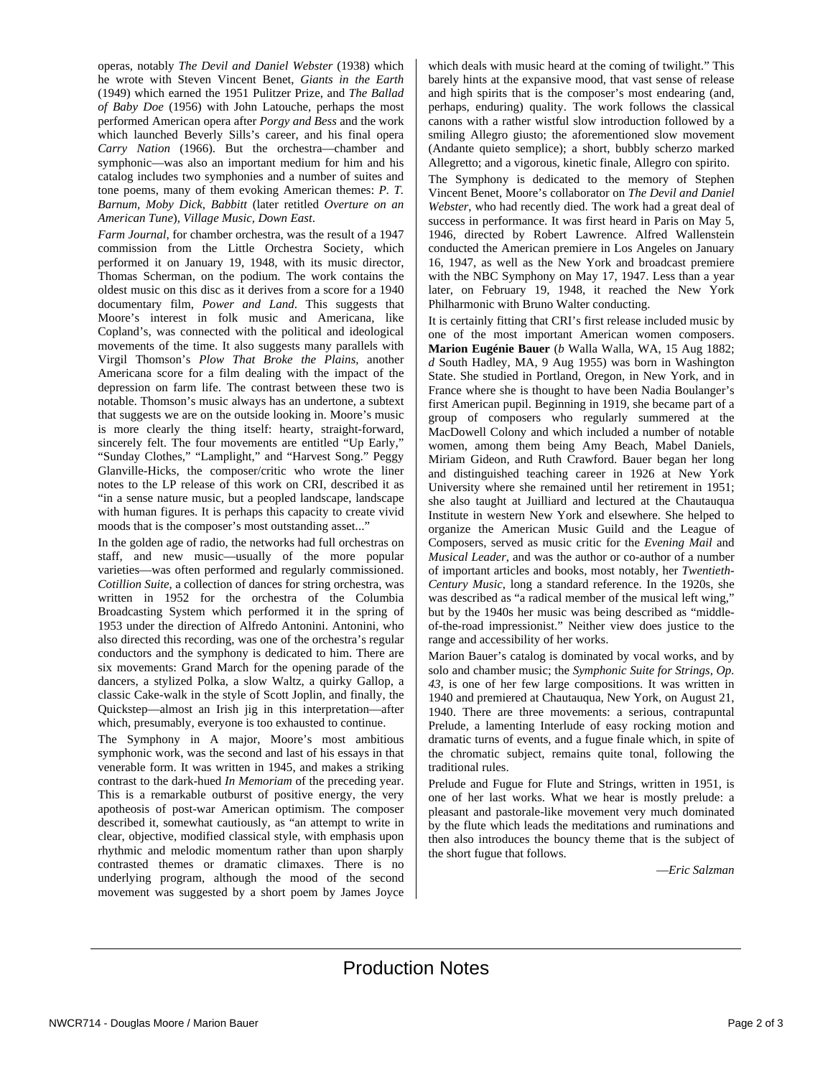operas, notably *The Devil and Daniel Webster* (1938) which he wrote with Steven Vincent Benet, *Giants in the Earth* (1949) which earned the 1951 Pulitzer Prize, and *The Ballad of Baby Doe* (1956) with John Latouche, perhaps the most performed American opera after *Porgy and Bess* and the work which launched Beverly Sills's career, and his final opera *Carry Nation* (1966). But the orchestra—chamber and symphonic—was also an important medium for him and his catalog includes two symphonies and a number of suites and tone poems, many of them evoking American themes: *P. T. Barnum, Moby Dick, Babbitt* (later retitled *Overture on an American Tune*)*, Village Music, Down East*.

*Farm Journal,* for chamber orchestra, was the result of a 1947 commission from the Little Orchestra Society, which performed it on January 19, 1948, with its music director, Thomas Scherman, on the podium. The work contains the oldest music on this disc as it derives from a score for a 1940 documentary film, *Power and Land*. This suggests that Moore's interest in folk music and Americana, like Copland's, was connected with the political and ideological movements of the time. It also suggests many parallels with Virgil Thomson's *Plow That Broke the Plains,* another Americana score for a film dealing with the impact of the depression on farm life. The contrast between these two is notable. Thomson's music always has an undertone, a subtext that suggests we are on the outside looking in. Moore's music is more clearly the thing itself: hearty, straight-forward, sincerely felt. The four movements are entitled "Up Early," "Sunday Clothes," "Lamplight," and "Harvest Song." Peggy Glanville-Hicks, the composer/critic who wrote the liner notes to the LP release of this work on CRI, described it as "in a sense nature music, but a peopled landscape, landscape with human figures. It is perhaps this capacity to create vivid moods that is the composer's most outstanding asset..."

In the golden age of radio, the networks had full orchestras on staff, and new music—usually of the more popular varieties—was often performed and regularly commissioned. *Cotillion Suite*, a collection of dances for string orchestra, was written in 1952 for the orchestra of the Columbia Broadcasting System which performed it in the spring of 1953 under the direction of Alfredo Antonini. Antonini, who also directed this recording, was one of the orchestra's regular conductors and the symphony is dedicated to him. There are six movements: Grand March for the opening parade of the dancers, a stylized Polka, a slow Waltz, a quirky Gallop, a classic Cake-walk in the style of Scott Joplin, and finally, the Quickstep—almost an Irish jig in this interpretation—after which, presumably, everyone is too exhausted to continue.

The Symphony in A major, Moore's most ambitious symphonic work, was the second and last of his essays in that venerable form. It was written in 1945, and makes a striking contrast to the dark-hued *In Memoriam* of the preceding year. This is a remarkable outburst of positive energy, the very apotheosis of post-war American optimism. The composer described it, somewhat cautiously, as "an attempt to write in clear, objective, modified classical style, with emphasis upon rhythmic and melodic momentum rather than upon sharply contrasted themes or dramatic climaxes. There is no underlying program, although the mood of the second movement was suggested by a short poem by James Joyce which deals with music heard at the coming of twilight." This barely hints at the expansive mood, that vast sense of release and high spirits that is the composer's most endearing (and, perhaps, enduring) quality. The work follows the classical canons with a rather wistful slow introduction followed by a smiling Allegro giusto; the aforementioned slow movement (Andante quieto semplice); a short, bubbly scherzo marked Allegretto; and a vigorous, kinetic finale, Allegro con spirito.

The Symphony is dedicated to the memory of Stephen Vincent Benet, Moore's collaborator on *The Devil and Daniel Webster*, who had recently died. The work had a great deal of success in performance. It was first heard in Paris on May 5, 1946, directed by Robert Lawrence. Alfred Wallenstein conducted the American premiere in Los Angeles on January 16, 1947, as well as the New York and broadcast premiere with the NBC Symphony on May 17, 1947. Less than a year later, on February 19, 1948, it reached the New York Philharmonic with Bruno Walter conducting.

It is certainly fitting that CRI's first release included music by one of the most important American women composers. **Marion Eugénie Bauer** (*b* Walla Walla, WA, 15 Aug 1882; *d* South Hadley, MA, 9 Aug 1955) was born in Washington State. She studied in Portland, Oregon, in New York, and in France where she is thought to have been Nadia Boulanger's first American pupil. Beginning in 1919, she became part of a group of composers who regularly summered at the MacDowell Colony and which included a number of notable women, among them being Amy Beach, Mabel Daniels, Miriam Gideon, and Ruth Crawford. Bauer began her long and distinguished teaching career in 1926 at New York University where she remained until her retirement in 1951; she also taught at Juilliard and lectured at the Chautauqua Institute in western New York and elsewhere. She helped to organize the American Music Guild and the League of Composers, served as music critic for the *Evening Mail* and *Musical Leader*, and was the author or co-author of a number of important articles and books, most notably, her *Twentieth-Century Music*, long a standard reference. In the 1920s, she was described as "a radical member of the musical left wing," but by the 1940s her music was being described as "middleof-the-road impressionist." Neither view does justice to the range and accessibility of her works.

Marion Bauer's catalog is dominated by vocal works, and by solo and chamber music; the *Symphonic Suite for Strings, Op. 43*, is one of her few large compositions. It was written in 1940 and premiered at Chautauqua, New York, on August 21, 1940. There are three movements: a serious, contrapuntal Prelude, a lamenting Interlude of easy rocking motion and dramatic turns of events, and a fugue finale which, in spite of the chromatic subject, remains quite tonal, following the traditional rules.

Prelude and Fugue for Flute and Strings, written in 1951, is one of her last works. What we hear is mostly prelude: a pleasant and pastorale-like movement very much dominated by the flute which leads the meditations and ruminations and then also introduces the bouncy theme that is the subject of the short fugue that follows.

—*Eric Salzman*

## Production Notes